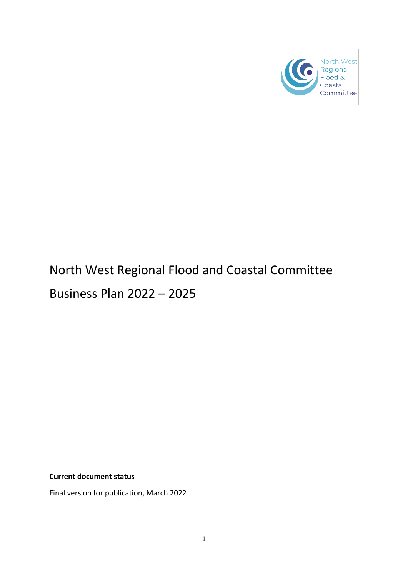

# North West Regional Flood and Coastal Committee

Business Plan 2022 – 2025

**Current document status**

Final version for publication, March 2022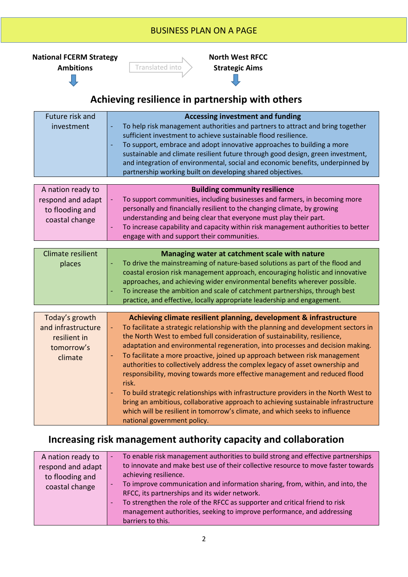## BUSINESS PLAN ON A PAGE BUSINESS PLAN ON A PAGE

<span id="page-1-0"></span>



Translated into **Strategic Aims**

**North West RFCC** 

# **Achieving resilience in partnership with others**

| Future risk and<br>investment                             | <b>Accessing investment and funding</b><br>To help risk management authorities and partners to attract and bring together<br>$\overline{\phantom{a}}$<br>sufficient investment to achieve sustainable flood resilience.<br>To support, embrace and adopt innovative approaches to building a more<br>$\overline{\phantom{a}}$<br>sustainable and climate resilient future through good design, green investment,<br>and integration of environmental, social and economic benefits, underpinned by<br>partnership working built on developing shared objectives. |
|-----------------------------------------------------------|------------------------------------------------------------------------------------------------------------------------------------------------------------------------------------------------------------------------------------------------------------------------------------------------------------------------------------------------------------------------------------------------------------------------------------------------------------------------------------------------------------------------------------------------------------------|
| A nation ready to<br>respond and adapt<br>to flooding and | <b>Building community resilience</b><br>To support communities, including businesses and farmers, in becoming more<br>personally and financially resilient to the changing climate, by growing                                                                                                                                                                                                                                                                                                                                                                   |
| coastal change                                            | understanding and being clear that everyone must play their part.                                                                                                                                                                                                                                                                                                                                                                                                                                                                                                |

| 1.11117 | To increase capability and capacity within risk management authorities to better |  |
|---------|----------------------------------------------------------------------------------|--|
|         | engage with and support their communities.                                       |  |

| Climate resilient | Managing water at catchment scale with nature                                      |
|-------------------|------------------------------------------------------------------------------------|
| places            | To drive the mainstreaming of nature-based solutions as part of the flood and<br>Æ |
|                   | coastal erosion risk management approach, encouraging holistic and innovative      |
|                   | approaches, and achieving wider environmental benefits wherever possible.          |
|                   | To increase the ambition and scale of catchment partnerships, through best         |
|                   | practice, and effective, locally appropriate leadership and engagement.            |

| Today's growth     | Achieving climate resilient planning, development & infrastructure                                                                                                                                                                                                                      |
|--------------------|-----------------------------------------------------------------------------------------------------------------------------------------------------------------------------------------------------------------------------------------------------------------------------------------|
| and infrastructure | To facilitate a strategic relationship with the planning and development sectors in                                                                                                                                                                                                     |
| resilient in       | the North West to embed full consideration of sustainability, resilience,                                                                                                                                                                                                               |
| tomorrow's         | adaptation and environmental regeneration, into processes and decision making.                                                                                                                                                                                                          |
| climate            | To facilitate a more proactive, joined up approach between risk management<br>$\blacksquare$<br>authorities to collectively address the complex legacy of asset ownership and<br>responsibility, moving towards more effective management and reduced flood<br>risk.                    |
|                    | To build strategic relationships with infrastructure providers in the North West to<br>bring an ambitious, collaborative approach to achieving sustainable infrastructure<br>which will be resilient in tomorrow's climate, and which seeks to influence<br>national government policy. |

## **Increasing risk management authority capacity and collaboration**

| A nation ready to | To enable risk management authorities to build strong and effective partnerships<br>$\overline{\phantom{a}}$ |
|-------------------|--------------------------------------------------------------------------------------------------------------|
| respond and adapt | to innovate and make best use of their collective resource to move faster towards                            |
| to flooding and   | achieving resilience.                                                                                        |
| coastal change    | To improve communication and information sharing, from, within, and into, the<br>$\overline{\phantom{a}}$    |
|                   | RFCC, its partnerships and its wider network.                                                                |
|                   | To strengthen the role of the RFCC as supporter and critical friend to risk<br>/ — /                         |
|                   | management authorities, seeking to improve performance, and addressing                                       |
|                   | barriers to this.                                                                                            |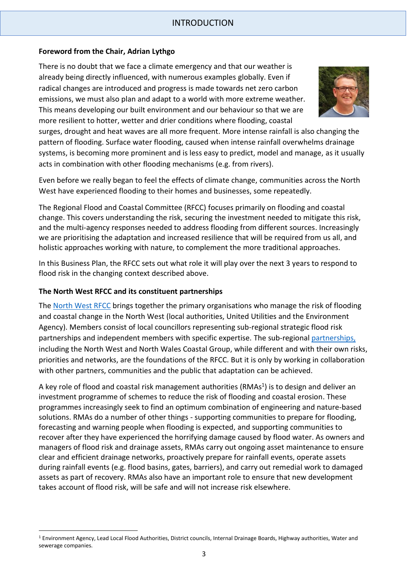#### **Foreword from the Chair, Adrian Lythgo**

There is no doubt that we face a climate emergency and that our weather is already being directly influenced, with numerous examples globally. Even if radical changes are introduced and progress is made towards net zero carbon emissions, we must also plan and adapt to a world with more extreme weather. This means developing our built environment and our behaviour so that we are more resilient to hotter, wetter and drier conditions where flooding, coastal



surges, drought and heat waves are all more frequent. More intense rainfall is also changing the pattern of flooding. Surface water flooding, caused when intense rainfall overwhelms drainage systems, is becoming more prominent and is less easy to predict, model and manage, as it usually acts in combination with other flooding mechanisms (e.g. from rivers).

Even before we really began to feel the effects of climate change, communities across the North West have experienced flooding to their homes and businesses, some repeatedly.

The Regional Flood and Coastal Committee (RFCC) focuses primarily on flooding and coastal change. This covers understanding the risk, securing the investment needed to mitigate this risk, and the multi-agency responses needed to address flooding from different sources. Increasingly we are prioritising the adaptation and increased resilience that will be required from us all, and holistic approaches working with nature, to complement the more traditional approaches.

In this Business Plan, the RFCC sets out what role it will play over the next 3 years to respond to flood risk in the changing context described above.

#### **The North West RFCC and its constituent partnerships**

The [North West RFCC](https://thefloodhub.co.uk/north-west-rfcc/) brings together the primary organisations who manage the risk of flooding and coastal change in the North West (local authorities, United Utilities and the Environment Agency). Members consist of local councillors representing sub-regional strategic flood risk partnerships and independent members with specific expertise. The sub-regional [partnerships,](https://thefloodhub.co.uk/your-local-area/) including the North West and North Wales Coastal Group, while different and with their own risks, priorities and networks, are the foundations of the RFCC. But it is only by working in collaboration with other partners, communities and the public that adaptation can be achieved.

A key role of flood and coastal risk management authorities (RMAs<sup>1</sup>) is to design and deliver an investment programme of schemes to reduce the risk of flooding and coastal erosion. These programmes increasingly seek to find an optimum combination of engineering and nature-based solutions. RMAs do a number of other things - supporting communities to prepare for flooding, forecasting and warning people when flooding is expected, and supporting communities to recover after they have experienced the horrifying damage caused by flood water. As owners and managers of flood risk and drainage assets, RMAs carry out ongoing asset maintenance to ensure clear and efficient drainage networks, proactively prepare for rainfall events, operate assets during rainfall events (e.g. flood basins, gates, barriers), and carry out remedial work to damaged assets as part of recovery. RMAs also have an important role to ensure that new development takes account of flood risk, will be safe and will not increase risk elsewhere.

<sup>&</sup>lt;sup>1</sup> Environment Agency, Lead Local Flood Authorities, District councils, Internal Drainage Boards, Highway authorities, Water and sewerage companies.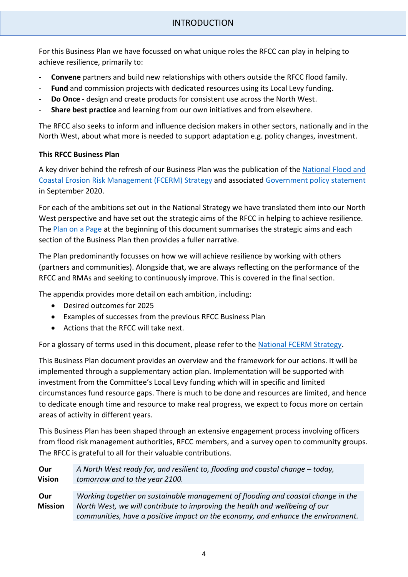For this Business Plan we have focussed on what unique roles the RFCC can play in helping to achieve resilience, primarily to:

- **Convene** partners and build new relationships with others outside the RFCC flood family.
- **Fund** and commission projects with dedicated resources using its Local Levy funding.
- **Do Once** design and create products for consistent use across the North West.
- **Share best practice** and learning from our own initiatives and from elsewhere.

The RFCC also seeks to inform and influence decision makers in other sectors, nationally and in the North West, about what more is needed to support adaptation e.g. policy changes, investment.

#### **This RFCC Business Plan**

A key driver behind the refresh of our Business Plan was the publication of the [National Flood and](https://www.gov.uk/government/publications/national-flood-and-coastal-erosion-risk-management-strategy-for-england--2)  [Coastal Erosion Risk Management \(FCERM\) Strategy](https://www.gov.uk/government/publications/national-flood-and-coastal-erosion-risk-management-strategy-for-england--2) and associated [Government policy statement](https://www.gov.uk/government/publications/flood-and-coastal-erosion-risk-management-policy-statement) in September 2020.

For each of the ambitions set out in the National Strategy we have translated them into our North West perspective and have set out the strategic aims of the RFCC in helping to achieve resilience. The [Plan on a Page](#page-1-0) at the beginning of this document summarises the strategic aims and each section of the Business Plan then provides a fuller narrative.

The Plan predominantly focusses on how we will achieve resilience by working with others (partners and communities). Alongside that, we are always reflecting on the performance of the RFCC and RMAs and seeking to continuously improve. This is covered in the final section.

The appendix provides more detail on each ambition, including:

- Desired outcomes for 2025
- Examples of successes from the previous RFCC Business Plan
- Actions that the RFCC will take next.

For a glossary of terms used in this document, please refer to the [National FCERM Strategy.](https://assets.publishing.service.gov.uk/government/uploads/system/uploads/attachment_data/file/917649/15482_Environment_agency_digital_Glossary_PDFA.pdf)

This Business Plan document provides an overview and the framework for our actions. It will be implemented through a supplementary action plan. Implementation will be supported with investment from the Committee's Local Levy funding which will in specific and limited circumstances fund resource gaps. There is much to be done and resources are limited, and hence to dedicate enough time and resource to make real progress, we expect to focus more on certain areas of activity in different years.

This Business Plan has been shaped through an extensive engagement process involving officers from flood risk management authorities, RFCC members, and a survey open to community groups. The RFCC is grateful to all for their valuable contributions.

**Our Vision** *A North West ready for, and resilient to, flooding and coastal change – today, tomorrow and to the year 2100.* **Our Mission** *Working together on sustainable management of flooding and coastal change in the North West, we will contribute to improving the health and wellbeing of our communities, have a positive impact on the economy, and enhance the environment.*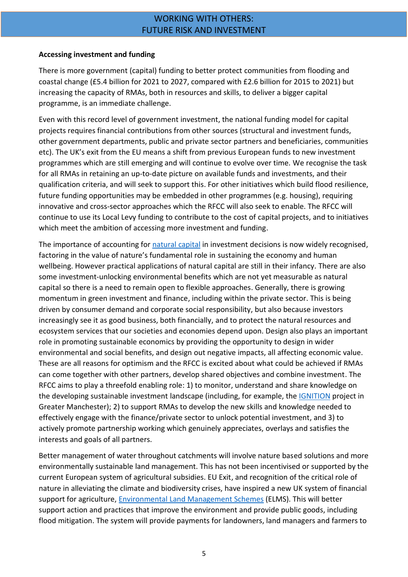## WORKING WITH OTHERS: FUTURE RISK AND INVESTMENT

#### **Accessing investment and funding**

There is more government (capital) funding to better protect communities from flooding and coastal change (£5.4 billion for 2021 to 2027, compared with £2.6 billion for 2015 to 2021) but increasing the capacity of RMAs, both in resources and skills, to deliver a bigger capital programme, is an immediate challenge.

Even with this record level of government investment, the national funding model for capital projects requires financial contributions from other sources (structural and investment funds, other government departments, public and private sector partners and beneficiaries, communities etc). The UK's exit from the EU means a shift from previous European funds to new investment programmes which are still emerging and will continue to evolve over time. We recognise the task for all RMAs in retaining an up-to-date picture on available funds and investments, and their qualification criteria, and will seek to support this. For other initiatives which build flood resilience, future funding opportunities may be embedded in other programmes (e.g. housing), requiring innovative and cross-sector approaches which the RFCC will also seek to enable. The RFCC will continue to use its Local Levy funding to contribute to the cost of capital projects, and to initiatives which meet the ambition of accessing more investment and funding.

The importance of accounting for natural capital in investment decisions is now widely recognised, factoring in the value of nature's fundamental role in sustaining the economy and human wellbeing. However practical applications of natural capital are still in their infancy. There are also some investment-unlocking environmental benefits which are not yet measurable as natural capital so there is a need to remain open to flexible approaches. Generally, there is growing momentum in green investment and finance, including within the private sector. This is being driven by consumer demand and corporate social responsibility, but also because investors increasingly see it as good business, both financially, and to protect the natural resources and ecosystem services that our societies and economies depend upon. Design also plays an important role in promoting sustainable economics by providing the opportunity to design in wider environmental and social benefits, and design out negative impacts, all affecting economic value. These are all reasons for optimism and the RFCC is excited about what could be achieved if RMAs can come together with other partners, develop shared objectives and combine investment. The RFCC aims to play a threefold enabling role: 1) to monitor, understand and share knowledge on the developing sustainable investment landscape (including, for example, the [IGNITION](https://www.greatermanchester-ca.gov.uk/what-we-do/environment/natural-environment/ignition/) project in Greater Manchester); 2) to support RMAs to develop the new skills and knowledge needed to effectively engage with the finance/private sector to unlock potential investment, and 3) to actively promote partnership working which genuinely appreciates, overlays and satisfies the interests and goals of all partners.

Better management of water throughout catchments will involve nature based solutions and more environmentally sustainable land management. This has not been incentivised or supported by the current European system of agricultural subsidies. EU Exit, and recognition of the critical role of nature in alleviating the climate and biodiversity crises, have inspired a new UK system of financial support for agriculture, [Environmental Land Management Schemes](https://www.gov.uk/government/publications/environmental-land-management-schemes-overview/environmental-land-management-scheme-overview) (ELMS). This will better support action and practices that improve the environment and provide public goods, including flood mitigation. The system will provide payments for landowners, land managers and farmers to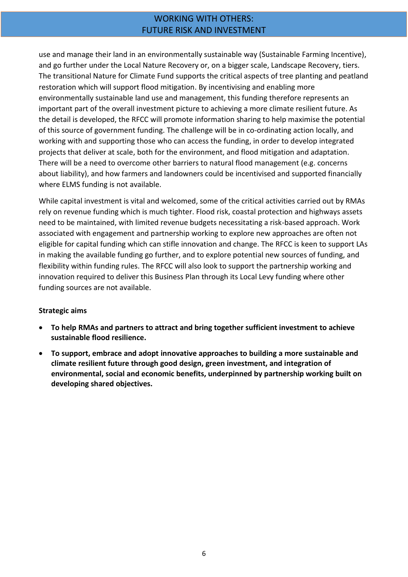## WORKING WITH OTHERS: FUTURE RISK AND INVESTMENT

use and manage their land in an environmentally sustainable way (Sustainable Farming Incentive), and go further under the Local Nature Recovery or, on a bigger scale, Landscape Recovery, tiers. The transitional Nature for Climate Fund supports the critical aspects of tree planting and peatland restoration which will support flood mitigation. By incentivising and enabling more environmentally sustainable land use and management, this funding therefore represents an important part of the overall investment picture to achieving a more climate resilient future. As the detail is developed, the RFCC will promote information sharing to help maximise the potential of this source of government funding. The challenge will be in co-ordinating action locally, and working with and supporting those who can access the funding, in order to develop integrated projects that deliver at scale, both for the environment, and flood mitigation and adaptation. There will be a need to overcome other barriers to natural flood management (e.g. concerns about liability), and how farmers and landowners could be incentivised and supported financially where ELMS funding is not available.

While capital investment is vital and welcomed, some of the critical activities carried out by RMAs rely on revenue funding which is much tighter. Flood risk, coastal protection and highways assets need to be maintained, with limited revenue budgets necessitating a risk-based approach. Work associated with engagement and partnership working to explore new approaches are often not eligible for capital funding which can stifle innovation and change. The RFCC is keen to support LAs in making the available funding go further, and to explore potential new sources of funding, and flexibility within funding rules. The RFCC will also look to support the partnership working and innovation required to deliver this Business Plan through its Local Levy funding where other funding sources are not available.

#### **Strategic aims**

- **To help RMAs and partners to attract and bring together sufficient investment to achieve sustainable flood resilience.**
- **To support, embrace and adopt innovative approaches to building a more sustainable and climate resilient future through good design, green investment, and integration of environmental, social and economic benefits, underpinned by partnership working built on developing shared objectives.**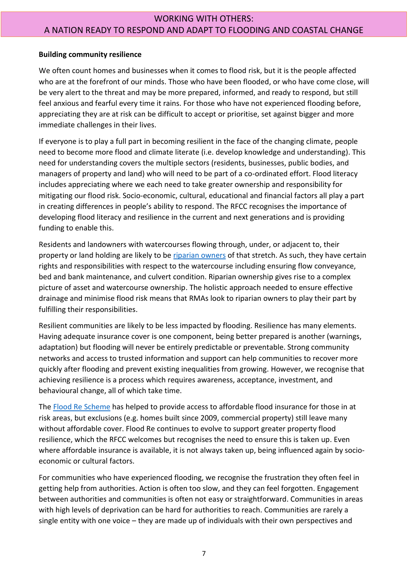## WORKING WITH OTHERS: A NATION READY TO RESPOND AND ADAPT TO FLOODING AND COASTAL CHANGE

#### **Building community resilience**

We often count homes and businesses when it comes to flood risk, but it is the people affected who are at the forefront of our minds. Those who have been flooded, or who have come close, will be very alert to the threat and may be more prepared, informed, and ready to respond, but still feel anxious and fearful every time it rains. For those who have not experienced flooding before, appreciating they are at risk can be difficult to accept or prioritise, set against bigger and more immediate challenges in their lives.

If everyone is to play a full part in becoming resilient in the face of the changing climate, people need to become more flood and climate literate (i.e. develop knowledge and understanding). This need for understanding covers the multiple sectors (residents, businesses, public bodies, and managers of property and land) who will need to be part of a co-ordinated effort. Flood literacy includes appreciating where we each need to take greater ownership and responsibility for mitigating our flood risk. Socio-economic, cultural, educational and financial factors all play a part in creating differences in people's ability to respond. The RFCC recognises the importance of developing flood literacy and resilience in the current and next generations and is providing funding to enable this.

Residents and landowners with watercourses flowing through, under, or adjacent to, their property or land holding are likely to be [riparian owners](https://www.gov.uk/guidance/owning-a-watercourse) of that stretch. As such, they have certain rights and responsibilities with respect to the watercourse including ensuring flow conveyance, bed and bank maintenance, and culvert condition. Riparian ownership gives rise to a complex picture of asset and watercourse ownership. The holistic approach needed to ensure effective drainage and minimise flood risk means that RMAs look to riparian owners to play their part by fulfilling their responsibilities.

Resilient communities are likely to be less impacted by flooding. Resilience has many elements. Having adequate insurance cover is one component, being better prepared is another (warnings, adaptation) but flooding will never be entirely predictable or preventable. Strong community networks and access to trusted information and support can help communities to recover more quickly after flooding and prevent existing inequalities from growing. However, we recognise that achieving resilience is a process which requires awareness, acceptance, investment, and behavioural change, all of which take time.

The [Flood Re Scheme](https://www.floodre.co.uk/) has helped to provide access to affordable flood insurance for those in at risk areas, but exclusions (e.g. homes built since 2009, commercial property) still leave many without affordable cover. Flood Re continues to evolve to support greater property flood resilience, which the RFCC welcomes but recognises the need to ensure this is taken up. Even where affordable insurance is available, it is not always taken up, being influenced again by socioeconomic or cultural factors.

For communities who have experienced flooding, we recognise the frustration they often feel in getting help from authorities. Action is often too slow, and they can feel forgotten. Engagement between authorities and communities is often not easy or straightforward. Communities in areas with high levels of deprivation can be hard for authorities to reach. Communities are rarely a single entity with one voice – they are made up of individuals with their own perspectives and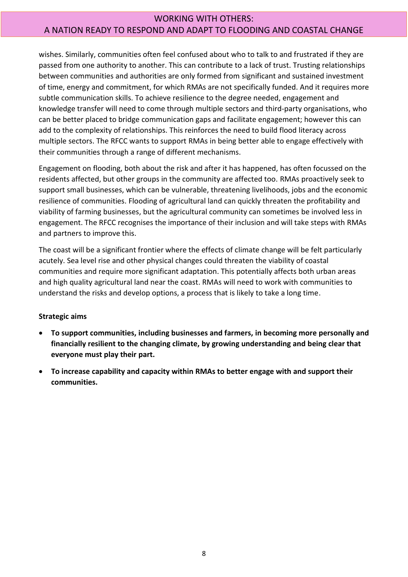## WORKING WITH OTHERS: A NATION READY TO RESPOND AND ADAPT TO FLOODING AND COASTAL CHANGE

wishes. Similarly, communities often feel confused about who to talk to and frustrated if they are passed from one authority to another. This can contribute to a lack of trust. Trusting relationships between communities and authorities are only formed from significant and sustained investment of time, energy and commitment, for which RMAs are not specifically funded. And it requires more subtle communication skills. To achieve resilience to the degree needed, engagement and knowledge transfer will need to come through multiple sectors and third-party organisations, who can be better placed to bridge communication gaps and facilitate engagement; however this can add to the complexity of relationships. This reinforces the need to build flood literacy across multiple sectors. The RFCC wants to support RMAs in being better able to engage effectively with their communities through a range of different mechanisms.

Engagement on flooding, both about the risk and after it has happened, has often focussed on the residents affected, but other groups in the community are affected too. RMAs proactively seek to support small businesses, which can be vulnerable, threatening livelihoods, jobs and the economic resilience of communities. Flooding of agricultural land can quickly threaten the profitability and viability of farming businesses, but the agricultural community can sometimes be involved less in engagement. The RFCC recognises the importance of their inclusion and will take steps with RMAs and partners to improve this.

The coast will be a significant frontier where the effects of climate change will be felt particularly acutely. Sea level rise and other physical changes could threaten the viability of coastal communities and require more significant adaptation. This potentially affects both urban areas and high quality agricultural land near the coast. RMAs will need to work with communities to understand the risks and develop options, a process that is likely to take a long time.

#### **Strategic aims**

- **To support communities, including businesses and farmers, in becoming more personally and financially resilient to the changing climate, by growing understanding and being clear that everyone must play their part.**
- **To increase capability and capacity within RMAs to better engage with and support their communities.**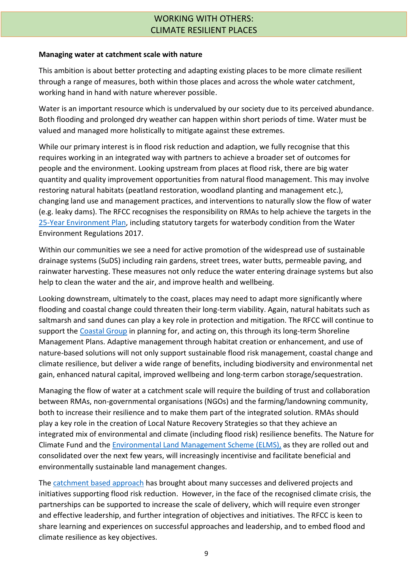## WORKING WITH OTHERS: CLIMATE RESILIENT PLACES

#### **Managing water at catchment scale with nature**

This ambition is about better protecting and adapting existing places to be more climate resilient through a range of measures, both within those places and across the whole water catchment, working hand in hand with nature wherever possible.

Water is an important resource which is undervalued by our society due to its perceived abundance. Both flooding and prolonged dry weather can happen within short periods of time. Water must be valued and managed more holistically to mitigate against these extremes.

While our primary interest is in flood risk reduction and adaption, we fully recognise that this requires working in an integrated way with partners to achieve a broader set of outcomes for people and the environment. Looking upstream from places at flood risk, there are big water quantity and quality improvement opportunities from natural flood management. This may involve restoring natural habitats (peatland restoration, woodland planting and management etc.), changing land use and management practices, and interventions to naturally slow the flow of water (e.g. leaky dams). The RFCC recognises the responsibility on RMAs to help achieve the targets in the [25-Year Environment Plan,](https://www.gov.uk/government/publications/25-year-environment-plan) including statutory targets for waterbody condition from the Water Environment Regulations 2017.

Within our communities we see a need for active promotion of the widespread use of sustainable drainage systems (SuDS) including rain gardens, street trees, water butts, permeable paving, and rainwater harvesting. These measures not only reduce the water entering drainage systems but also help to clean the water and the air, and improve health and wellbeing.

Looking downstream, ultimately to the coast, places may need to adapt more significantly where flooding and coastal change could threaten their long-term viability. Again, natural habitats such as saltmarsh and sand dunes can play a key role in protection and mitigation. The RFCC will continue to support the [Coastal Group](https://thefloodhub.co.uk/north-west-coastline/) in planning for, and acting on, this through its long-term Shoreline Management Plans. Adaptive management through habitat creation or enhancement, and use of nature-based solutions will not only support sustainable flood risk management, coastal change and climate resilience, but deliver a wide range of benefits, including biodiversity and environmental net gain, enhanced natural capital, improved wellbeing and long-term carbon storage/sequestration.

Managing the flow of water at a catchment scale will require the building of trust and collaboration between RMAs, non-governmental organisations (NGOs) and the farming/landowning community, both to increase their resilience and to make them part of the integrated solution. RMAs should play a key role in the creation of Local Nature Recovery Strategies so that they achieve an integrated mix of environmental and climate (including flood risk) resilience benefits. The Nature for Climate Fund and the [Environmental Land Management Scheme \(ELMS\),](https://www.gov.uk/government/publications/environmental-land-management-schemes-overview/environmental-land-management-scheme-overview) as they are rolled out and consolidated over the next few years, will increasingly incentivise and facilitate beneficial and environmentally sustainable land management changes.

The [catchment based approach](https://catchmentbasedapproach.org/) has brought about many successes and delivered projects and initiatives supporting flood risk reduction. However, in the face of the recognised climate crisis, the partnerships can be supported to increase the scale of delivery, which will require even stronger and effective leadership, and further integration of objectives and initiatives. The RFCC is keen to share learning and experiences on successful approaches and leadership, and to embed flood and climate resilience as key objectives.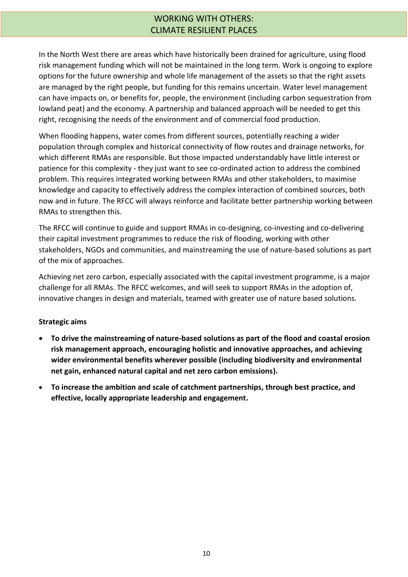## WORKING WITH OTHERS: CLIMATE RESILIENT PLACES

In the North West there are areas which have historically been drained for agriculture, using flood risk management funding which will not be maintained in the long term. Work is ongoing to explore options for the future ownership and whole life management of the assets so that the right assets are managed by the right people, but funding for this remains uncertain. Water level management can have impacts on, or benefits for, people, the environment (including carbon sequestration from lowland peat) and the economy. A partnership and balanced approach will be needed to get this right, recognising the needs of the environment and of commercial food production.

When flooding happens, water comes from different sources, potentially reaching a wider population through complex and historical connectivity of flow routes and drainage networks, for which different RMAs are responsible. But those impacted understandably have little interest or patience for this complexity - they just want to see co-ordinated action to address the combined problem. This requires integrated working between RMAs and other stakeholders, to maximise knowledge and capacity to effectively address the complex interaction of combined sources, both now and in future. The RFCC will always reinforce and facilitate better partnership working between RMAs to strengthen this.

The RFCC will continue to guide and support RMAs in co-designing, co-investing and co-delivering their capital investment programmes to reduce the risk of flooding, working with other stakeholders, NGOs and communities, and mainstreaming the use of nature-based solutions as part of the mix of approaches.

Achieving net zero carbon, especially associated with the capital investment programme, is a major challenge for all RMAs. The RFCC welcomes, and will seek to support RMAs in the adoption of, innovative changes in design and materials, teamed with greater use of nature based solutions.

#### **Strategic aims**

- **To drive the mainstreaming of nature-based solutions as part of the flood and coastal erosion risk management approach, encouraging holistic and innovative approaches, and achieving wider environmental benefits wherever possible (including biodiversity and environmental net gain, enhanced natural capital and net zero carbon emissions).**
- **To increase the ambition and scale of catchment partnerships, through best practice, and effective, locally appropriate leadership and engagement.**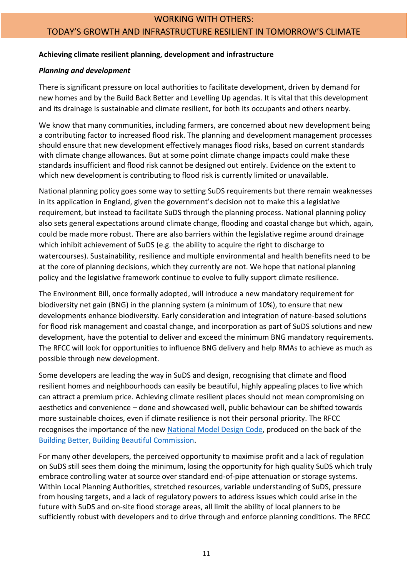#### WORKING WITH OTHERS:

## TODAY'S GROWTH AND INFRASTRUCTURE RESILIENT IN TOMORROW'S CLIMATE

#### **Achieving climate resilient planning, development and infrastructure**

#### *Planning and development*

There is significant pressure on local authorities to facilitate development, driven by demand for new homes and by the Build Back Better and Levelling Up agendas. It is vital that this development and its drainage is sustainable and climate resilient, for both its occupants and others nearby.

We know that many communities, including farmers, are concerned about new development being a contributing factor to increased flood risk. The planning and development management processes should ensure that new development effectively manages flood risks, based on current standards with climate change allowances. But at some point climate change impacts could make these standards insufficient and flood risk cannot be designed out entirely. Evidence on the extent to which new development is contributing to flood risk is currently limited or unavailable.

National planning policy goes some way to setting SuDS requirements but there remain weaknesses in its application in England, given the government's decision not to make this a legislative requirement, but instead to facilitate SuDS through the planning process. National planning policy also sets general expectations around climate change, flooding and coastal change but which, again, could be made more robust. There are also barriers within the legislative regime around drainage which inhibit achievement of SuDS (e.g. the ability to acquire the right to discharge to watercourses). Sustainability, resilience and multiple environmental and health benefits need to be at the core of planning decisions, which they currently are not. We hope that national planning policy and the legislative framework continue to evolve to fully support climate resilience.

The Environment Bill, once formally adopted, will introduce a new mandatory requirement for biodiversity net gain (BNG) in the planning system (a minimum of 10%), to ensure that new developments enhance biodiversity. Early consideration and integration of nature-based solutions for flood risk management and coastal change, and incorporation as part of SuDS solutions and new development, have the potential to deliver and exceed the minimum BNG mandatory requirements. The RFCC will look for opportunities to influence BNG delivery and help RMAs to achieve as much as possible through new development.

Some developers are leading the way in SuDS and design, recognising that climate and flood resilient homes and neighbourhoods can easily be beautiful, highly appealing places to live which can attract a premium price. Achieving climate resilient places should not mean compromising on aesthetics and convenience – done and showcased well, public behaviour can be shifted towards more sustainable choices, even if climate resilience is not their personal priority. The RFCC recognises the importance of the new [National Model Design Code,](https://www.gov.uk/government/publications/national-model-design-code) produced on the back of the [Building Better, Building Beautiful Commission.](https://www.gov.uk/government/groups/building-better-building-beautiful-commission)

For many other developers, the perceived opportunity to maximise profit and a lack of regulation on SuDS still sees them doing the minimum, losing the opportunity for high quality SuDS which truly embrace controlling water at source over standard end-of-pipe attenuation or storage systems. Within Local Planning Authorities, stretched resources, variable understanding of SuDS, pressure from housing targets, and a lack of regulatory powers to address issues which could arise in the future with SuDS and on-site flood storage areas, all limit the ability of local planners to be sufficiently robust with developers and to drive through and enforce planning conditions. The RFCC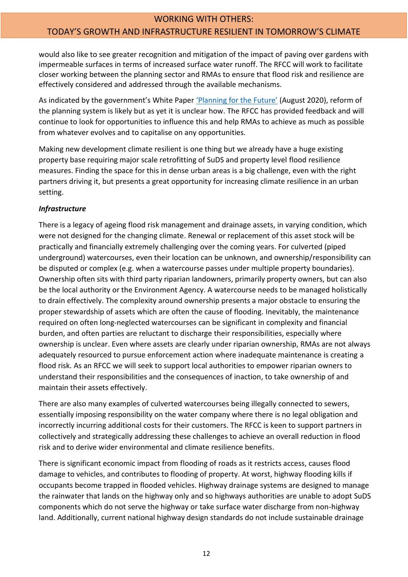would also like to see greater recognition and mitigation of the impact of paving over gardens with impermeable surfaces in terms of increased surface water runoff. The RFCC will work to facilitate closer working between the planning sector and RMAs to ensure that flood risk and resilience are effectively considered and addressed through the available mechanisms.

As indicated by the government's White Paper ['Planning for the](https://www.gov.uk/government/consultations/planning-for-the-future) Future' (August 2020), reform of the planning system is likely but as yet it is unclear how. The RFCC has provided feedback and will continue to look for opportunities to influence this and help RMAs to achieve as much as possible from whatever evolves and to capitalise on any opportunities.

Making new development climate resilient is one thing but we already have a huge existing property base requiring major scale retrofitting of SuDS and property level flood resilience measures. Finding the space for this in dense urban areas is a big challenge, even with the right partners driving it, but presents a great opportunity for increasing climate resilience in an urban setting.

## *Infrastructure*

There is a legacy of ageing flood risk management and drainage assets, in varying condition, which were not designed for the changing climate. Renewal or replacement of this asset stock will be practically and financially extremely challenging over the coming years. For culverted (piped underground) watercourses, even their location can be unknown, and ownership/responsibility can be disputed or complex (e.g. when a watercourse passes under multiple property boundaries). Ownership often sits with third party riparian landowners, primarily property owners, but can also be the local authority or the Environment Agency. A watercourse needs to be managed holistically to drain effectively. The complexity around ownership presents a major obstacle to ensuring the proper stewardship of assets which are often the cause of flooding. Inevitably, the maintenance required on often long-neglected watercourses can be significant in complexity and financial burden, and often parties are reluctant to discharge their responsibilities, especially where ownership is unclear. Even where assets are clearly under riparian ownership, RMAs are not always adequately resourced to pursue enforcement action where inadequate maintenance is creating a flood risk. As an RFCC we will seek to support local authorities to empower riparian owners to understand their responsibilities and the consequences of inaction, to take ownership of and maintain their assets effectively.

There are also many examples of culverted watercourses being illegally connected to sewers, essentially imposing responsibility on the water company where there is no legal obligation and incorrectly incurring additional costs for their customers. The RFCC is keen to support partners in collectively and strategically addressing these challenges to achieve an overall reduction in flood risk and to derive wider environmental and climate resilience benefits.

There is significant economic impact from flooding of roads as it restricts access, causes flood damage to vehicles, and contributes to flooding of property. At worst, highway flooding kills if occupants become trapped in flooded vehicles. Highway drainage systems are designed to manage the rainwater that lands on the highway only and so highways authorities are unable to adopt SuDS components which do not serve the highway or take surface water discharge from non-highway land. Additionally, current national highway design standards do not include sustainable drainage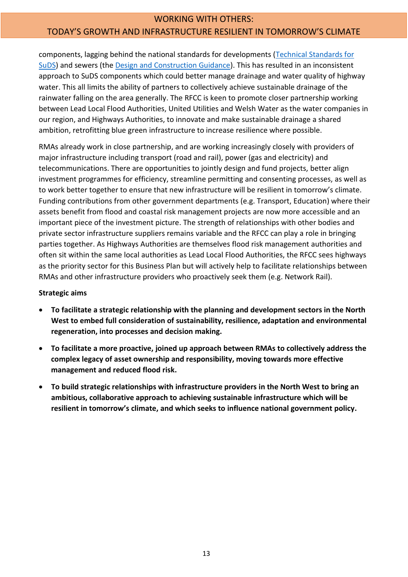## WORKING WITH OTHERS: TODAY'S GROWTH AND INFRASTRUCTURE RESILIENT IN TOMORROW'S CLIMATE

components, lagging behind the national standards for developments [\(Technical Standards for](https://www.gov.uk/government/publications/sustainable-drainage-systems-non-statutory-technical-standards)  [SuDS\)](https://www.gov.uk/government/publications/sustainable-drainage-systems-non-statutory-technical-standards) and sewers (the [Design and Construction Guidance\)](https://www.water.org.uk/wp-content/uploads/2019/11/SSG-App-C-Des-Con-Guide-v-1.0-251019.pdf). This has resulted in an inconsistent approach to SuDS components which could better manage drainage and water quality of highway water. This all limits the ability of partners to collectively achieve sustainable drainage of the rainwater falling on the area generally. The RFCC is keen to promote closer partnership working between Lead Local Flood Authorities, United Utilities and Welsh Water as the water companies in our region, and Highways Authorities, to innovate and make sustainable drainage a shared ambition, retrofitting blue green infrastructure to increase resilience where possible.

RMAs already work in close partnership, and are working increasingly closely with providers of major infrastructure including transport (road and rail), power (gas and electricity) and telecommunications. There are opportunities to jointly design and fund projects, better align investment programmes for efficiency, streamline permitting and consenting processes, as well as to work better together to ensure that new infrastructure will be resilient in tomorrow's climate. Funding contributions from other government departments (e.g. Transport, Education) where their assets benefit from flood and coastal risk management projects are now more accessible and an important piece of the investment picture. The strength of relationships with other bodies and private sector infrastructure suppliers remains variable and the RFCC can play a role in bringing parties together. As Highways Authorities are themselves flood risk management authorities and often sit within the same local authorities as Lead Local Flood Authorities, the RFCC sees highways as the priority sector for this Business Plan but will actively help to facilitate relationships between RMAs and other infrastructure providers who proactively seek them (e.g. Network Rail).

#### **Strategic aims**

- **To facilitate a strategic relationship with the planning and development sectors in the North West to embed full consideration of sustainability, resilience, adaptation and environmental regeneration, into processes and decision making.**
- **To facilitate a more proactive, joined up approach between RMAs to collectively address the complex legacy of asset ownership and responsibility, moving towards more effective management and reduced flood risk.**
- **To build strategic relationships with infrastructure providers in the North West to bring an ambitious, collaborative approach to achieving sustainable infrastructure which will be resilient in tomorrow's climate, and which seeks to influence national government policy.**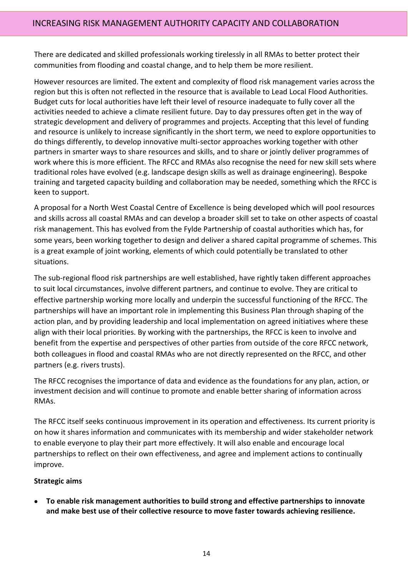There are dedicated and skilled professionals working tirelessly in all RMAs to better protect their communities from flooding and coastal change, and to help them be more resilient.

However resources are limited. The extent and complexity of flood risk management varies across the region but this is often not reflected in the resource that is available to Lead Local Flood Authorities. Budget cuts for local authorities have left their level of resource inadequate to fully cover all the activities needed to achieve a climate resilient future. Day to day pressures often get in the way of strategic development and delivery of programmes and projects. Accepting that this level of funding and resource is unlikely to increase significantly in the short term, we need to explore opportunities to do things differently, to develop innovative multi-sector approaches working together with other partners in smarter ways to share resources and skills, and to share or jointly deliver programmes of work where this is more efficient. The RFCC and RMAs also recognise the need for new skill sets where traditional roles have evolved (e.g. landscape design skills as well as drainage engineering). Bespoke training and targeted capacity building and collaboration may be needed, something which the RFCC is keen to support.

A proposal for a North West Coastal Centre of Excellence is being developed which will pool resources and skills across all coastal RMAs and can develop a broader skill set to take on other aspects of coastal risk management. This has evolved from the Fylde Partnership of coastal authorities which has, for some years, been working together to design and deliver a shared capital programme of schemes. This is a great example of joint working, elements of which could potentially be translated to other situations.

The sub-regional flood risk partnerships are well established, have rightly taken different approaches to suit local circumstances, involve different partners, and continue to evolve. They are critical to effective partnership working more locally and underpin the successful functioning of the RFCC. The partnerships will have an important role in implementing this Business Plan through shaping of the action plan, and by providing leadership and local implementation on agreed initiatives where these align with their local priorities. By working with the partnerships, the RFCC is keen to involve and benefit from the expertise and perspectives of other parties from outside of the core RFCC network, both colleagues in flood and coastal RMAs who are not directly represented on the RFCC, and other partners (e.g. rivers trusts).

The RFCC recognises the importance of data and evidence as the foundations for any plan, action, or investment decision and will continue to promote and enable better sharing of information across RMAs.

The RFCC itself seeks continuous improvement in its operation and effectiveness. Its current priority is on how it shares information and communicates with its membership and wider stakeholder network to enable everyone to play their part more effectively. It will also enable and encourage local partnerships to reflect on their own effectiveness, and agree and implement actions to continually improve.

#### **Strategic aims**

• **To enable risk management authorities to build strong and effective partnerships to innovate and make best use of their collective resource to move faster towards achieving resilience.**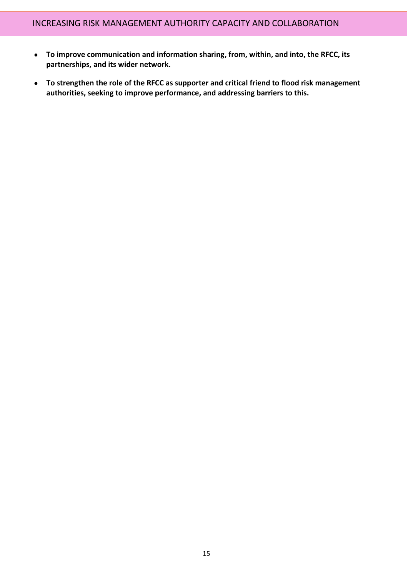- **To improve communication and information sharing, from, within, and into, the RFCC, its partnerships, and its wider network.**
- **To strengthen the role of the RFCC as supporter and critical friend to flood risk management authorities, seeking to improve performance, and addressing barriers to this.**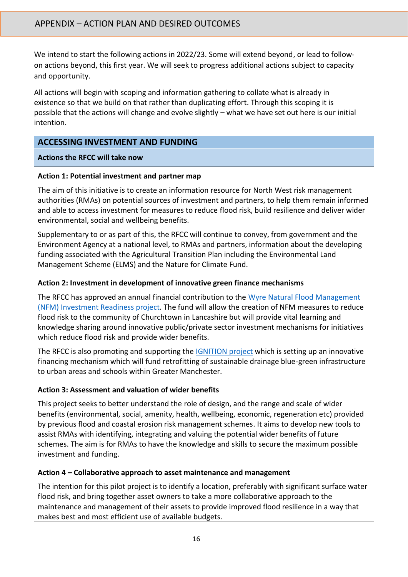We intend to start the following actions in 2022/23. Some will extend beyond, or lead to followon actions beyond, this first year. We will seek to progress additional actions subject to capacity and opportunity.

All actions will begin with scoping and information gathering to collate what is already in existence so that we build on that rather than duplicating effort. Through this scoping it is possible that the actions will change and evolve slightly – what we have set out here is our initial intention.

## **ACCESSING INVESTMENT AND FUNDING**

#### **Actions the RFCC will take now**

#### **Action 1: Potential investment and partner map**

The aim of this initiative is to create an information resource for North West risk management authorities (RMAs) on potential sources of investment and partners, to help them remain informed and able to access investment for measures to reduce flood risk, build resilience and deliver wider environmental, social and wellbeing benefits.

Supplementary to or as part of this, the RFCC will continue to convey, from government and the Environment Agency at a national level, to RMAs and partners, information about the developing funding associated with the Agricultural Transition Plan including the Environmental Land Management Scheme (ELMS) and the Nature for Climate Fund.

#### **Action 2: Investment in development of innovative green finance mechanisms**

The RFCC has approved an annual financial contribution to the [Wyre Natural Flood Management](https://www.theriverstrust.org/our-work/our-projects/wyre-nfm-investment-readiness-project#:~:text=Wyre%20NFM%20Investment%20Readiness%20Project%20The%20Rivers%20Trust,help%20reduce%20the%20risk%20of%20flooding%20in%20Churchtown.)  [\(NFM\) Investment Readiness project.](https://www.theriverstrust.org/our-work/our-projects/wyre-nfm-investment-readiness-project#:~:text=Wyre%20NFM%20Investment%20Readiness%20Project%20The%20Rivers%20Trust,help%20reduce%20the%20risk%20of%20flooding%20in%20Churchtown.) The fund will allow the creation of NFM measures to reduce flood risk to the community of Churchtown in Lancashire but will provide vital learning and knowledge sharing around innovative public/private sector investment mechanisms for initiatives which reduce flood risk and provide wider benefits.

The RFCC is also promoting and supporting the [IGNITION project](https://www.greatermanchester-ca.gov.uk/what-we-do/environment/natural-environment/ignition/) which is setting up an innovative financing mechanism which will fund retrofitting of sustainable drainage blue-green infrastructure to urban areas and schools within Greater Manchester.

## **Action 3: Assessment and valuation of wider benefits**

This project seeks to better understand the role of design, and the range and scale of wider benefits (environmental, social, amenity, health, wellbeing, economic, regeneration etc) provided by previous flood and coastal erosion risk management schemes. It aims to develop new tools to assist RMAs with identifying, integrating and valuing the potential wider benefits of future schemes. The aim is for RMAs to have the knowledge and skills to secure the maximum possible investment and funding.

#### **Action 4 – Collaborative approach to asset maintenance and management**

The intention for this pilot project is to identify a location, preferably with significant surface water flood risk, and bring together asset owners to take a more collaborative approach to the maintenance and management of their assets to provide improved flood resilience in a way that makes best and most efficient use of available budgets.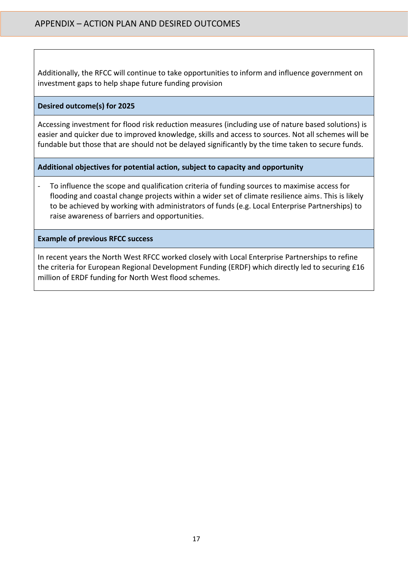Additionally, the RFCC will continue to take opportunities to inform and influence government on investment gaps to help shape future funding provision

#### **Desired outcome(s) for 2025**

Accessing investment for flood risk reduction measures (including use of nature based solutions) is easier and quicker due to improved knowledge, skills and access to sources. Not all schemes will be fundable but those that are should not be delayed significantly by the time taken to secure funds.

#### **Additional objectives for potential action, subject to capacity and opportunity**

- To influence the scope and qualification criteria of funding sources to maximise access for flooding and coastal change projects within a wider set of climate resilience aims. This is likely to be achieved by working with administrators of funds (e.g. Local Enterprise Partnerships) to raise awareness of barriers and opportunities.

**Example of previous RFCC success**

In recent years the North West RFCC worked closely with Local Enterprise Partnerships to refine the criteria for European Regional Development Funding (ERDF) which directly led to securing £16 million of ERDF funding for North West flood schemes.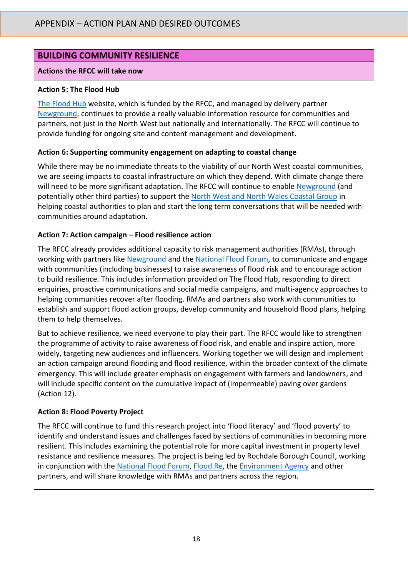## **BUILDING COMMUNITY RESILIENCE**

#### **Actions the RFCC will take now**

#### **Action 5: The Flood Hub**

[The Flood Hub](https://thefloodhub.co.uk/) website, which is funded by the RFCC, and managed by delivery partner [Newground,](https://thefloodhub.co.uk/about-newground/) continues to provide a really valuable information resource for communities and partners, not just in the North West but nationally and internationally. The RFCC will continue to provide funding for ongoing site and content management and development.

#### **Action 6: Supporting community engagement on adapting to coastal change**

While there may be no immediate threats to the viability of our North West coastal communities, we are seeing impacts to coastal infrastructure on which they depend. With climate change there will need to be more significant adaptation. The RFCC will continue to enabl[e Newground](https://thefloodhub.co.uk/about-newground/) (and potentially other third parties) to support the [North West and North Wales Coastal Group](https://www.mycoastline.org.uk/about-the-nw-coastal-group/) in helping coastal authorities to plan and start the long term conversations that will be needed with communities around adaptation.

#### **Action 7: Action campaign – Flood resilience action**

The RFCC already provides additional capacity to risk management authorities (RMAs), through working with partners like [Newground](https://thefloodhub.co.uk/about-newground/) and the [National Flood Forum,](https://nationalfloodforum.org.uk/) to communicate and engage with communities (including businesses) to raise awareness of flood risk and to encourage action to build resilience. This includes information provided on The Flood Hub, responding to direct enquiries, proactive communications and social media campaigns, and multi-agency approaches to helping communities recover after flooding. RMAs and partners also work with communities to establish and support flood action groups, develop community and household flood plans, helping them to help themselves.

But to achieve resilience, we need everyone to play their part. The RFCC would like to strengthen the programme of activity to raise awareness of flood risk, and enable and inspire action, more widely, targeting new audiences and influencers. Working together we will design and implement an action campaign around flooding and flood resilience, within the broader context of the climate emergency. This will include greater emphasis on engagement with farmers and landowners, and will include specific content on the cumulative impact of (impermeable) paving over gardens (Action 12).

#### **Action 8: Flood Poverty Project**

The RFCC will continue to fund this research project into 'flood literacy' and 'flood poverty' to identify and understand issues and challenges faced by sections of communities in becoming more resilient. This includes examining the potential role for more capital investment in property level resistance and resilience measures. The project is being led by Rochdale Borough Council, working in conjunction with the [National Flood Forum,](https://nationalfloodforum.org.uk/) [Flood Re,](https://www.floodre.co.uk/) the [Environment Agency](https://www.gov.uk/government/organisations/environment-agency) and other partners, and will share knowledge with RMAs and partners across the region.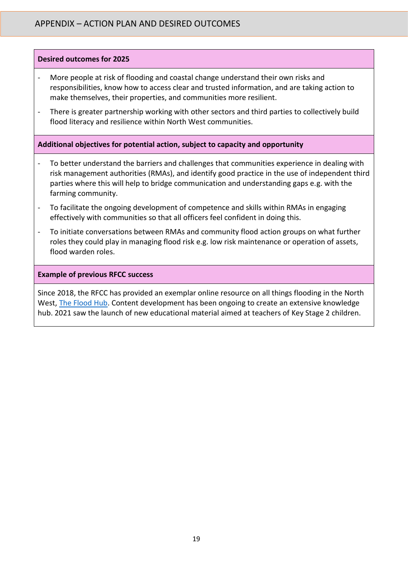#### **Desired outcomes for 2025**

- More people at risk of flooding and coastal change understand their own risks and responsibilities, know how to access clear and trusted information, and are taking action to make themselves, their properties, and communities more resilient.
- There is greater partnership working with other sectors and third parties to collectively build flood literacy and resilience within North West communities.

#### **Additional objectives for potential action, subject to capacity and opportunity**

- To better understand the barriers and challenges that communities experience in dealing with risk management authorities (RMAs), and identify good practice in the use of independent third parties where this will help to bridge communication and understanding gaps e.g. with the farming community.
- To facilitate the ongoing development of competence and skills within RMAs in engaging effectively with communities so that all officers feel confident in doing this.
- To initiate conversations between RMAs and community flood action groups on what further roles they could play in managing flood risk e.g. low risk maintenance or operation of assets, flood warden roles.

#### **Example of previous RFCC success**

Since 2018, the RFCC has provided an exemplar online resource on all things flooding in the North West, [The Flood Hub.](https://thefloodhub.co.uk/) Content development has been ongoing to create an extensive knowledge hub. 2021 saw the launch of new educational material aimed at teachers of Key Stage 2 children.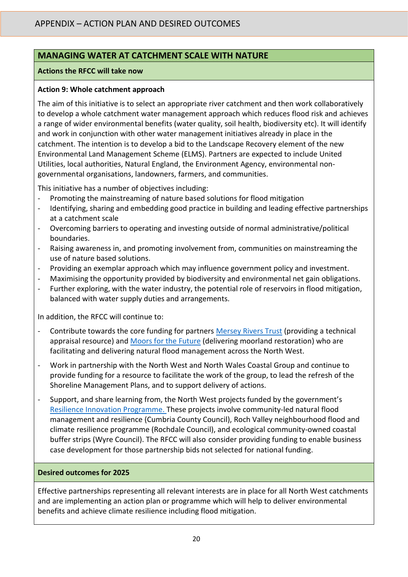## **MANAGING WATER AT CATCHMENT SCALE WITH NATURE**

#### **Actions the RFCC will take now**

#### **Action 9: Whole catchment approach**

The aim of this initiative is to select an appropriate river catchment and then work collaboratively to develop a whole catchment water management approach which reduces flood risk and achieves a range of wider environmental benefits (water quality, soil health, biodiversity etc). It will identify and work in conjunction with other water management initiatives already in place in the catchment. The intention is to develop a bid to the Landscape Recovery element of the new Environmental Land Management Scheme (ELMS). Partners are expected to include United Utilities, local authorities, Natural England, the Environment Agency, environmental nongovernmental organisations, landowners, farmers, and communities.

This initiative has a number of objectives including:

- Promoting the mainstreaming of nature based solutions for flood mitigation
- Identifying, sharing and embedding good practice in building and leading effective partnerships at a catchment scale
- Overcoming barriers to operating and investing outside of normal administrative/political boundaries.
- Raising awareness in, and promoting involvement from, communities on mainstreaming the use of nature based solutions.
- Providing an exemplar approach which may influence government policy and investment.
- Maximising the opportunity provided by biodiversity and environmental net gain obligations.
- Further exploring, with the water industry, the potential role of reservoirs in flood mitigation, balanced with water supply duties and arrangements.

In addition, the RFCC will continue to:

- Contribute towards the core funding for partners [Mersey Rivers Trust](https://www.healthyriverstrust.org.uk/) (providing a technical appraisal resource) and [Moors for the Future](https://www.moorsforthefuture.org.uk/) (delivering moorland restoration) who are facilitating and delivering natural flood management across the North West.
- Work in partnership with the North West and North Wales Coastal Group and continue to provide funding for a resource to facilitate the work of the group, to lead the refresh of the Shoreline Management Plans, and to support delivery of actions.
- Support, and share learning from, the North West projects funded by the government's [Resilience Innovation Programme.](https://www.gov.uk/guidance/flood-and-coastal-resilience-innovation-programme) These projects involve community-led natural flood management and resilience (Cumbria County Council), Roch Valley neighbourhood flood and climate resilience programme (Rochdale Council), and ecological community-owned coastal buffer strips (Wyre Council). The RFCC will also consider providing funding to enable business case development for those partnership bids not selected for national funding.

#### **Desired outcomes for 2025**

Effective partnerships representing all relevant interests are in place for all North West catchments and are implementing an action plan or programme which will help to deliver environmental benefits and achieve climate resilience including flood mitigation.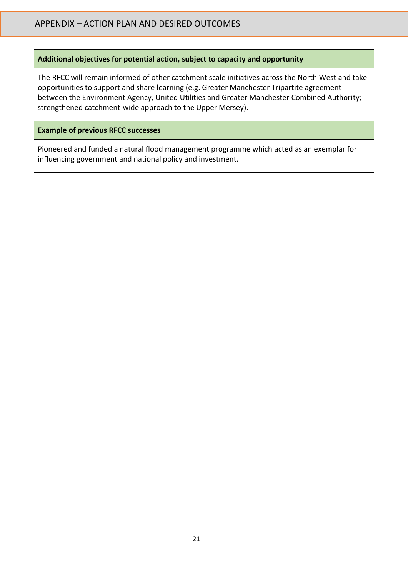#### **Additional objectives for potential action, subject to capacity and opportunity**

The RFCC will remain informed of other catchment scale initiatives across the North West and take opportunities to support and share learning (e.g. Greater Manchester Tripartite agreement between the Environment Agency, United Utilities and Greater Manchester Combined Authority; strengthened catchment-wide approach to the Upper Mersey).

#### **Example of previous RFCC successes**

Pioneered and funded a natural flood management programme which acted as an exemplar for influencing government and national policy and investment.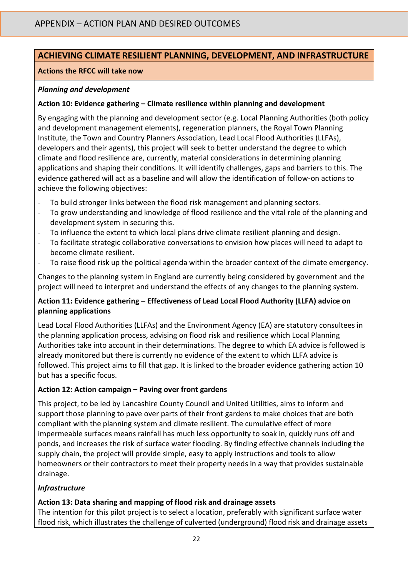## **ACHIEVING CLIMATE RESILIENT PLANNING, DEVELOPMENT, AND INFRASTRUCTURE**

#### **Actions the RFCC will take now**

#### *Planning and development*

#### **Action 10: Evidence gathering – Climate resilience within planning and development**

By engaging with the planning and development sector (e.g. Local Planning Authorities (both policy and development management elements), regeneration planners, the Royal Town Planning Institute, the Town and Country Planners Association, Lead Local Flood Authorities (LLFAs), developers and their agents), this project will seek to better understand the degree to which climate and flood resilience are, currently, material considerations in determining planning applications and shaping their conditions. It will identify challenges, gaps and barriers to this. The evidence gathered will act as a baseline and will allow the identification of follow-on actions to achieve the following objectives:

- To build stronger links between the flood risk management and planning sectors.
- To grow understanding and knowledge of flood resilience and the vital role of the planning and development system in securing this.
- To influence the extent to which local plans drive climate resilient planning and design.
- To facilitate strategic collaborative conversations to envision how places will need to adapt to become climate resilient.
- To raise flood risk up the political agenda within the broader context of the climate emergency.

Changes to the planning system in England are currently being considered by government and the project will need to interpret and understand the effects of any changes to the planning system.

#### **Action 11: Evidence gathering – Effectiveness of Lead Local Flood Authority (LLFA) advice on planning applications**

Lead Local Flood Authorities (LLFAs) and the Environment Agency (EA) are statutory consultees in the planning application process, advising on flood risk and resilience which Local Planning Authorities take into account in their determinations. The degree to which EA advice is followed is already monitored but there is currently no evidence of the extent to which LLFA advice is followed. This project aims to fill that gap. It is linked to the broader evidence gathering action 10 but has a specific focus.

## **Action 12: Action campaign – Paving over front gardens**

This project, to be led by Lancashire County Council and United Utilities, aims to inform and support those planning to pave over parts of their front gardens to make choices that are both compliant with the planning system and climate resilient. The cumulative effect of more impermeable surfaces means rainfall has much less opportunity to soak in, quickly runs off and ponds, and increases the risk of surface water flooding. By finding effective channels including the supply chain, the project will provide simple, easy to apply instructions and tools to allow homeowners or their contractors to meet their property needs in a way that provides sustainable drainage.

## *Infrastructure*

## **Action 13: Data sharing and mapping of flood risk and drainage assets**

The intention for this pilot project is to select a location, preferably with significant surface water flood risk, which illustrates the challenge of culverted (underground) flood risk and drainage assets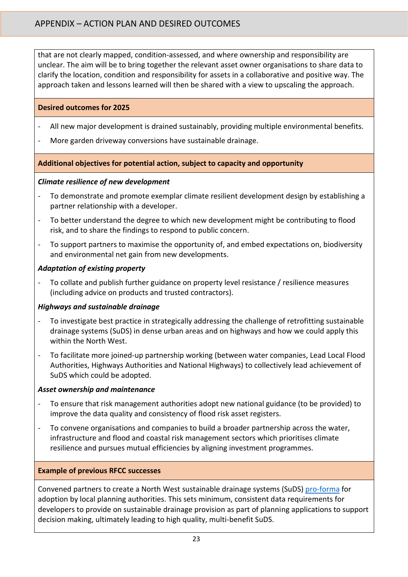that are not clearly mapped, condition-assessed, and where ownership and responsibility are unclear. The aim will be to bring together the relevant asset owner organisations to share data to clarify the location, condition and responsibility for assets in a collaborative and positive way. The approach taken and lessons learned will then be shared with a view to upscaling the approach.

#### **Desired outcomes for 2025**

- All new major development is drained sustainably, providing multiple environmental benefits.
- More garden driveway conversions have sustainable drainage.

#### **Additional objectives for potential action, subject to capacity and opportunity**

#### *Climate resilience of new development*

- To demonstrate and promote exemplar climate resilient development design by establishing a partner relationship with a developer.
- To better understand the degree to which new development might be contributing to flood risk, and to share the findings to respond to public concern.
- To support partners to maximise the opportunity of, and embed expectations on, biodiversity and environmental net gain from new developments.

## *Adaptation of existing property*

- To collate and publish further guidance on property level resistance / resilience measures (including advice on products and trusted contractors).

#### *Highways and sustainable drainage*

- To investigate best practice in strategically addressing the challenge of retrofitting sustainable drainage systems (SuDS) in dense urban areas and on highways and how we could apply this within the North West.
- To facilitate more joined-up partnership working (between water companies, Lead Local Flood Authorities, Highways Authorities and National Highways) to collectively lead achievement of SuDS which could be adopted.

#### *Asset ownership and maintenance*

- To ensure that risk management authorities adopt new national guidance (to be provided) to improve the data quality and consistency of flood risk asset registers.
- To convene organisations and companies to build a broader partnership across the water, infrastructure and flood and coastal risk management sectors which prioritises climate resilience and pursues mutual efficiencies by aligning investment programmes.

#### **Example of previous RFCC successes**

Convened partners to create a North West sustainable drainage systems (SuDS[\) pro-forma](https://thefloodhub.co.uk/planning-development/#section-5) for adoption by local planning authorities. This sets minimum, consistent data requirements for developers to provide on sustainable drainage provision as part of planning applications to support decision making, ultimately leading to high quality, multi-benefit SuDS.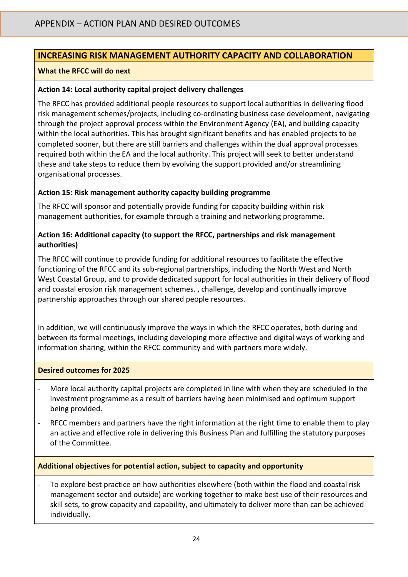## **INCREASING RISK MANAGEMENT AUTHORITY CAPACITY AND COLLABORATION**

#### **What the RFCC will do next**

#### **Action 14: Local authority capital project delivery challenges**

The RFCC has provided additional people resources to support local authorities in delivering flood risk management schemes/projects, including co-ordinating business case development, navigating through the project approval process within the Environment Agency (EA), and building capacity within the local authorities. This has brought significant benefits and has enabled projects to be completed sooner, but there are still barriers and challenges within the dual approval processes required both within the EA and the local authority. This project will seek to better understand these and take steps to reduce them by evolving the support provided and/or streamlining organisational processes.

#### **Action 15: Risk management authority capacity building programme**

The RFCC will sponsor and potentially provide funding for capacity building within risk management authorities, for example through a training and networking programme.

#### **Action 16: Additional capacity (to support the RFCC, partnerships and risk management authorities)**

The RFCC will continue to provide funding for additional resources to facilitate the effective functioning of the RFCC and its sub-regional partnerships, including the North West and North West Coastal Group, and to provide dedicated support for local authorities in their delivery of flood and coastal erosion risk management schemes. , challenge, develop and continually improve partnership approaches through our shared people resources.

In addition, we will continuously improve the ways in which the RFCC operates, both during and between its formal meetings, including developing more effective and digital ways of working and information sharing, within the RFCC community and with partners more widely.

#### **Desired outcomes for 2025**

- More local authority capital projects are completed in line with when they are scheduled in the investment programme as a result of barriers having been minimised and optimum support being provided.
- RFCC members and partners have the right information at the right time to enable them to play an active and effective role in delivering this Business Plan and fulfilling the statutory purposes of the Committee.

#### **Additional objectives for potential action, subject to capacity and opportunity**

To explore best practice on how authorities elsewhere (both within the flood and coastal risk management sector and outside) are working together to make best use of their resources and skill sets, to grow capacity and capability, and ultimately to deliver more than can be achieved individually.